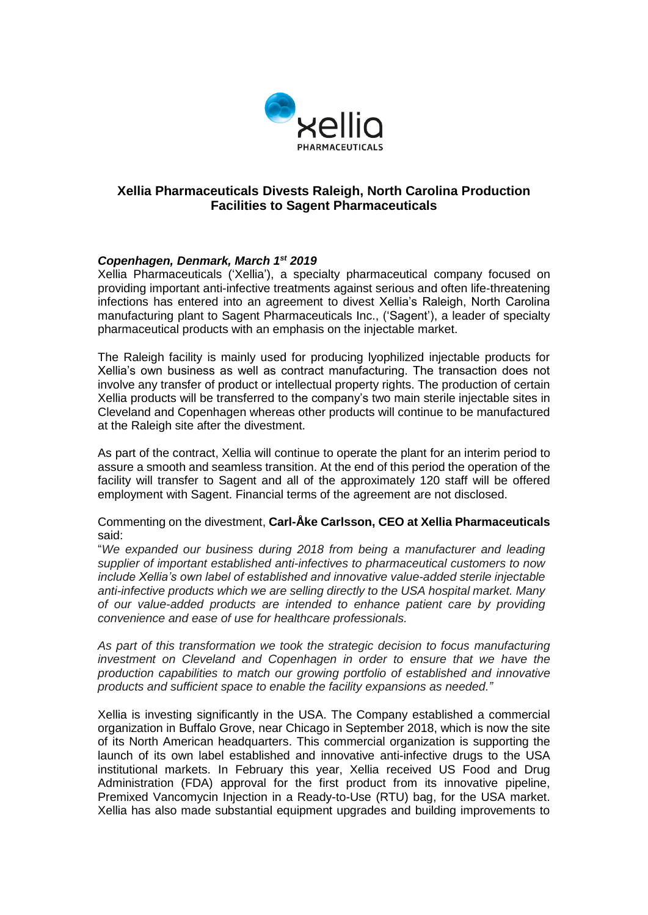

# **Xellia Pharmaceuticals Divests Raleigh, North Carolina Production Facilities to Sagent Pharmaceuticals**

# *Copenhagen, Denmark, March 1st 2019*

Xellia Pharmaceuticals ('Xellia'), a specialty pharmaceutical company focused on providing important anti-infective treatments against serious and often life-threatening infections has entered into an agreement to divest Xellia's Raleigh, North Carolina manufacturing plant to Sagent Pharmaceuticals Inc., ('Sagent'), a leader of specialty pharmaceutical products with an emphasis on the injectable market.

The Raleigh facility is mainly used for producing lyophilized injectable products for Xellia's own business as well as contract manufacturing. The transaction does not involve any transfer of product or intellectual property rights. The production of certain Xellia products will be transferred to the company's two main sterile injectable sites in Cleveland and Copenhagen whereas other products will continue to be manufactured at the Raleigh site after the divestment.

As part of the contract, Xellia will continue to operate the plant for an interim period to assure a smooth and seamless transition. At the end of this period the operation of the facility will transfer to Sagent and all of the approximately 120 staff will be offered employment with Sagent. Financial terms of the agreement are not disclosed.

Commenting on the divestment, **Carl-Åke Carlsson, CEO at Xellia Pharmaceuticals** said:

"*We expanded our business during 2018 from being a manufacturer and leading supplier of important established anti-infectives to pharmaceutical customers to now include Xellia's own label of established and innovative value-added sterile injectable anti-infective products which we are selling directly to the USA hospital market. Many of our value-added products are intended to enhance patient care by providing convenience and ease of use for healthcare professionals.*

*As part of this transformation we took the strategic decision to focus manufacturing investment on Cleveland and Copenhagen in order to ensure that we have the production capabilities to match our growing portfolio of established and innovative products and sufficient space to enable the facility expansions as needed."*

Xellia is investing significantly in the USA. The Company established a commercial organization in Buffalo Grove, near Chicago in September 2018, which is now the site of its North American headquarters. This commercial organization is supporting the launch of its own label established and innovative anti-infective drugs to the USA institutional markets. In February this year, Xellia received US Food and Drug Administration (FDA) approval for the first product from its innovative pipeline, Premixed Vancomycin Injection in a Ready-to-Use (RTU) bag, for the USA market. Xellia has also made substantial equipment upgrades and building improvements to